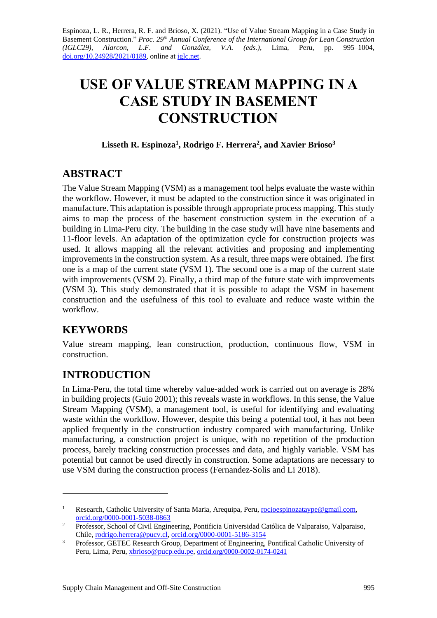Espinoza, L. R., Herrera, R. F. and Brioso, X. (2021). "Use of Value Stream Mapping in a Case Study in Basement Construction." *Proc. 29<sup>th</sup> Annual Conference of the International Group for Lean Construction (IGLC29), Alarcon, L.F. and González, V.A. (eds.)*, Lima, Peru, pp. 995–1004, [doi.org/10.24928/2021/0189,](https://doi.org/10.24928/2021/0189) online a[t iglc.net.](http://iglc.net/)

# **USE OF VALUE STREAM MAPPING IN A CASE STUDY IN BASEMENT CONSTRUCTION**

#### **Lisseth R. Espinoza<sup>1</sup> , Rodrigo F. Herrera<sup>2</sup> , and Xavier Brioso<sup>3</sup>**

### **ABSTRACT**

The Value Stream Mapping (VSM) as a management tool helps evaluate the waste within the workflow. However, it must be adapted to the construction since it was originated in manufacture. This adaptation is possible through appropriate process mapping. This study aims to map the process of the basement construction system in the execution of a building in Lima-Peru city. The building in the case study will have nine basements and 11-floor levels. An adaptation of the optimization cycle for construction projects was used. It allows mapping all the relevant activities and proposing and implementing improvements in the construction system. As a result, three maps were obtained. The first one is a map of the current state (VSM 1). The second one is a map of the current state with improvements (VSM 2). Finally, a third map of the future state with improvements (VSM 3). This study demonstrated that it is possible to adapt the VSM in basement construction and the usefulness of this tool to evaluate and reduce waste within the workflow.

# **KEYWORDS**

Value stream mapping, lean construction, production, continuous flow, VSM in construction.

# **INTRODUCTION**

In Lima-Peru, the total time whereby value-added work is carried out on average is 28% in building projects (Guio 2001); this reveals waste in workflows. In this sense, the Value Stream Mapping (VSM), a management tool, is useful for identifying and evaluating waste within the workflow. However, despite this being a potential tool, it has not been applied frequently in the construction industry compared with manufacturing. Unlike manufacturing, a construction project is unique, with no repetition of the production process, barely tracking construction processes and data, and highly variable. VSM has potential but cannot be used directly in construction. Some adaptations are necessary to use VSM during the construction process (Fernandez-Solis and Li 2018).

<sup>&</sup>lt;sup>1</sup> Research, Catholic University of Santa Maria, Arequipa, Peru, [rocioespinozataype@gmail.com,](mailto:rocioespinozataype@gmail.com) [orcid.org/0000-0001-5038-0863](http://orcid.org/0000-0001-5038-0863)

<sup>&</sup>lt;sup>2</sup> Professor, School of Civil Engineering, Pontificia Universidad Católica de Valparaiso, Valparaiso, Chile[, rodrigo.herrera@pucv.cl,](mailto:rodrigo.herrera@pucv.cl) [orcid.org/0000-0001-5186-3154](https://orcid.org/0000-0001-5186-3154)

<sup>&</sup>lt;sup>3</sup> Professor, GETEC Research Group, Department of Engineering, Pontifical Catholic University of Peru, Lima, Peru, [xbrioso@pucp.edu.pe,](mailto:xbrioso@pucp.edu.pe) [orcid.org/0000-0002-0174-0241](file:///C:/Users/emape/AppData/Local/Temp/orcid.org/0000-0002-0174-0241)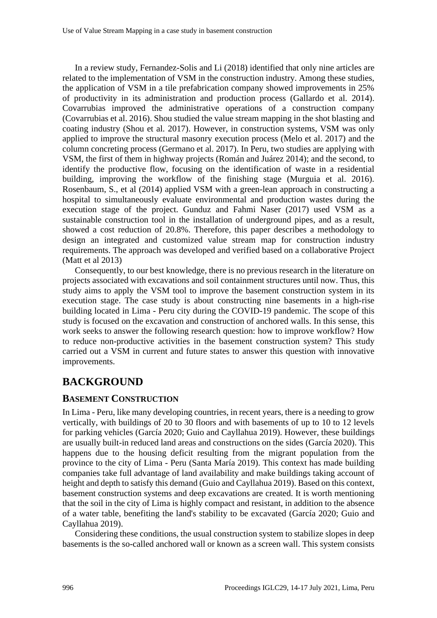In a review study, Fernandez-Solis and Li (2018) identified that only nine articles are related to the implementation of VSM in the construction industry. Among these studies, the application of VSM in a tile prefabrication company showed improvements in 25% of productivity in its administration and production process (Gallardo et al. 2014). Covarrubias improved the administrative operations of a construction company (Covarrubias et al. 2016). Shou studied the value stream mapping in the shot blasting and coating industry (Shou et al. 2017). However, in construction systems, VSM was only applied to improve the structural masonry execution process (Melo et al. 2017) and the column concreting process (Germano et al. 2017). In Peru, two studies are applying with VSM, the first of them in highway projects (Román and Juárez 2014); and the second, to identify the productive flow, focusing on the identification of waste in a residential building, improving the workflow of the finishing stage (Murguia et al. 2016). Rosenbaum, S., et al (2014) applied VSM with a green-lean approach in constructing a hospital to simultaneously evaluate environmental and production wastes during the execution stage of the project. Gunduz and Fahmi Naser (2017) used VSM as a sustainable construction tool in the installation of underground pipes, and as a result, showed a cost reduction of 20.8%. Therefore, this paper describes a methodology to design an integrated and customized value stream map for construction industry requirements. The approach was developed and verified based on a collaborative Project (Matt et al 2013)

Consequently, to our best knowledge, there is no previous research in the literature on projects associated with excavations and soil containment structures until now. Thus, this study aims to apply the VSM tool to improve the basement construction system in its execution stage. The case study is about constructing nine basements in a high-rise building located in Lima - Peru city during the COVID-19 pandemic. The scope of this study is focused on the excavation and construction of anchored walls. In this sense, this work seeks to answer the following research question: how to improve workflow? How to reduce non-productive activities in the basement construction system? This study carried out a VSM in current and future states to answer this question with innovative improvements.

# **BACKGROUND**

#### **BASEMENT CONSTRUCTION**

In Lima - Peru, like many developing countries, in recent years, there is a needing to grow vertically, with buildings of 20 to 30 floors and with basements of up to 10 to 12 levels for parking vehicles (García 2020; Guio and Cayllahua 2019). However, these buildings are usually built-in reduced land areas and constructions on the sides (García 2020). This happens due to the housing deficit resulting from the migrant population from the province to the city of Lima - Peru (Santa María 2019). This context has made building companies take full advantage of land availability and make buildings taking account of height and depth to satisfy this demand (Guio and Cayllahua 2019). Based on this context, basement construction systems and deep excavations are created. It is worth mentioning that the soil in the city of Lima is highly compact and resistant, in addition to the absence of a water table, benefiting the land's stability to be excavated (García 2020; Guio and Cayllahua 2019).

Considering these conditions, the usual construction system to stabilize slopes in deep basements is the so-called anchored wall or known as a screen wall. This system consists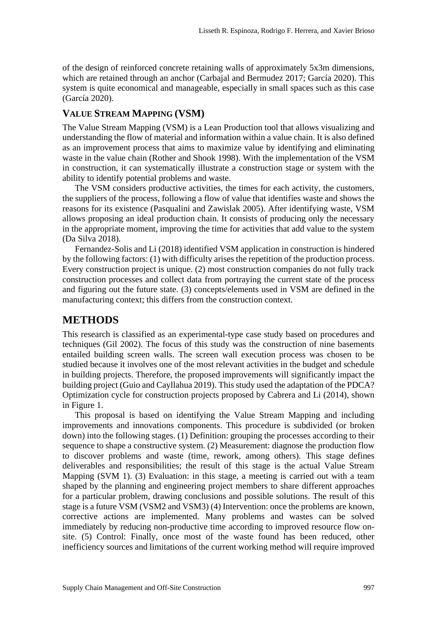of the design of reinforced concrete retaining walls of approximately 5x3m dimensions, which are retained through an anchor (Carbajal and Bermudez 2017; García 2020). This system is quite economical and manageable, especially in small spaces such as this case (García 2020).

#### **VALUE STREAM MAPPING (VSM)**

The Value Stream Mapping (VSM) is a Lean Production tool that allows visualizing and understanding the flow of material and information within a value chain. It is also defined as an improvement process that aims to maximize value by identifying and eliminating waste in the value chain (Rother and Shook 1998). With the implementation of the VSM in construction, it can systematically illustrate a construction stage or system with the ability to identify potential problems and waste.

The VSM considers productive activities, the times for each activity, the customers, the suppliers of the process, following a flow of value that identifies waste and shows the reasons for its existence (Pasqualini and Zawislak 2005). After identifying waste, VSM allows proposing an ideal production chain. It consists of producing only the necessary in the appropriate moment, improving the time for activities that add value to the system (Da Silva 2018).

Fernandez-Solis and Li (2018) identified VSM application in construction is hindered by the following factors: (1) with difficulty arises the repetition of the production process. Every construction project is unique. (2) most construction companies do not fully track construction processes and collect data from portraying the current state of the process and figuring out the future state. (3) concepts/elements used in VSM are defined in the manufacturing context; this differs from the construction context.

### **METHODS**

This research is classified as an experimental-type case study based on procedures and techniques (Gil 2002). The focus of this study was the construction of nine basements entailed building screen walls. The screen wall execution process was chosen to be studied because it involves one of the most relevant activities in the budget and schedule in building projects. Therefore, the proposed improvements will significantly impact the building project (Guio and Cayllahua 2019). This study used the adaptation of the PDCA? Optimization cycle for construction projects proposed by Cabrera and Li (2014), shown in Figure 1.

This proposal is based on identifying the Value Stream Mapping and including improvements and innovations components. This procedure is subdivided (or broken down) into the following stages. (1) Definition: grouping the processes according to their sequence to shape a constructive system. (2) Measurement: diagnose the production flow to discover problems and waste (time, rework, among others). This stage defines deliverables and responsibilities; the result of this stage is the actual Value Stream Mapping (SVM 1). (3) Evaluation: in this stage, a meeting is carried out with a team shaped by the planning and engineering project members to share different approaches for a particular problem, drawing conclusions and possible solutions. The result of this stage is a future VSM (VSM2 and VSM3) (4) Intervention: once the problems are known, corrective actions are implemented. Many problems and wastes can be solved immediately by reducing non-productive time according to improved resource flow onsite. (5) Control: Finally, once most of the waste found has been reduced, other inefficiency sources and limitations of the current working method will require improved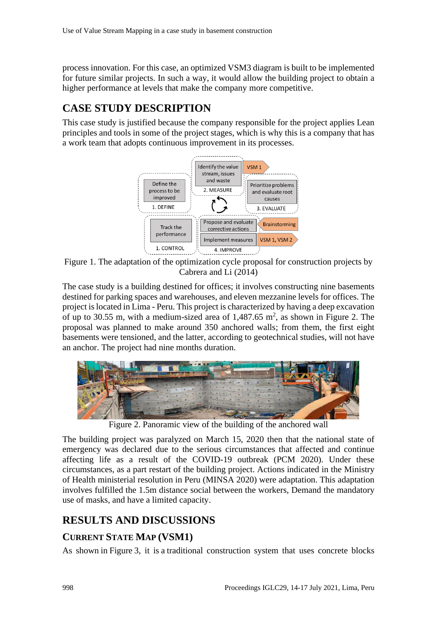process innovation. For this case, an optimized VSM3 diagram is built to be implemented for future similar projects. In such a way, it would allow the building project to obtain a higher performance at levels that make the company more competitive.

# **CASE STUDY DESCRIPTION**

This case study is justified because the company responsible for the project applies Lean principles and tools in some of the project stages, which is why this is a company that has a work team that adopts continuous improvement in its processes.



Figure 1. The adaptation of the optimization cycle proposal for construction projects by Cabrera and Li (2014)

The case study is a building destined for offices; it involves constructing nine basements destined for parking spaces and warehouses, and eleven mezzanine levels for offices. The project is located in Lima - Peru. This project is characterized by having a deep excavation of up to 30.55 m, with a medium-sized area of  $1,487.65$  m<sup>2</sup>, as shown in Figure 2. The proposal was planned to make around 350 anchored walls; from them, the first eight basements were tensioned, and the latter, according to geotechnical studies, will not have an anchor. The project had nine months duration.



Figure 2. Panoramic view of the building of the anchored wall

The building project was paralyzed on March 15, 2020 then that the national state of emergency was declared due to the serious circumstances that affected and continue affecting life as a result of the COVID-19 outbreak (PCM 2020). Under these circumstances, as a part restart of the building project. Actions indicated in the Ministry of Health ministerial resolution in Peru (MINSA 2020) were adaptation. This adaptation involves fulfilled the 1.5m distance social between the workers, Demand the mandatory use of masks, and have a limited capacity.

# **RESULTS AND DISCUSSIONS**

### **CURRENT STATE MAP (VSM1)**

As shown in Figure 3, it is a traditional construction system that uses concrete blocks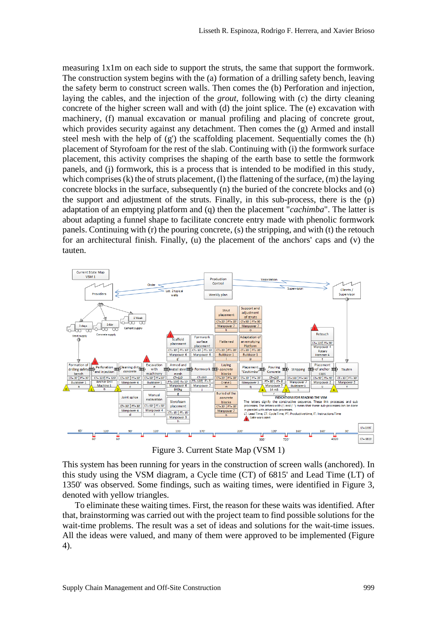measuring 1x1m on each side to support the struts, the same that support the formwork. The construction system begins with the (a) formation of a drilling safety bench, leaving the safety berm to construct screen walls. Then comes the (b) Perforation and injection, laying the cables, and the injection of the *grout*, following with (c) the dirty cleaning concrete of the higher screen wall and with (d) the joint splice. The (e) excavation with machinery, (f) manual excavation or manual profiling and placing of concrete grout, which provides security against any detachment. Then comes the (g) Armed and install steel mesh with the help of (g') the scaffolding placement. Sequentially comes the (h) placement of Styrofoam for the rest of the slab. Continuing with (i) the formwork surface placement, this activity comprises the shaping of the earth base to settle the formwork panels, and (j) formwork, this is a process that is intended to be modified in this study, which comprises (k) the of struts placement, (l) the flattening of the surface, (m) the laying concrete blocks in the surface, subsequently  $(n)$  the buried of the concrete blocks and  $(o)$ the support and adjustment of the struts. Finally, in this sub-process, there is the (p) adaptation of an emptying platform and (q) then the placement "*cachimba*". The latter is about adapting a funnel shape to facilitate concrete entry made with phenolic formwork panels. Continuing with (r) the pouring concrete, (s) the stripping, and with (t) the retouch for an architectural finish. Finally, (u) the placement of the anchors' caps and (v) the tauten.



Figure 3. Current State Map (VSM 1)

This system has been running for years in the construction of screen walls (anchored). In this study using the VSM diagram, a Cycle time (CT) of 6815' and Lead Time (LT) of 1350' was observed. Some findings, such as waiting times, were identified in Figure 3, denoted with yellow triangles.

To eliminate these waiting times. First, the reason for these waits was identified. After that, brainstorming was carried out with the project team to find possible solutions for the wait-time problems. The result was a set of ideas and solutions for the wait-time issues. All the ideas were valued, and many of them were approved to be implemented (Figure 4).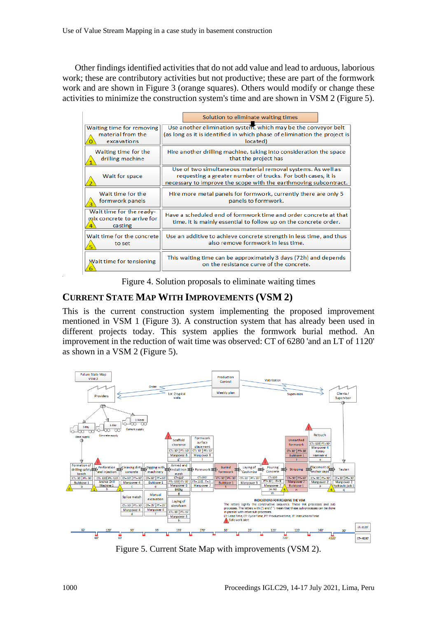Other findings identified activities that do not add value and lead to arduous, laborious work; these are contributory activities but not productive; these are part of the formwork work and are shown in Figure 3 (orange squares). Others would modify or change these activities to minimize the construction system's time and are shown in VSM 2 (Figure 5).

|                                                                   | Solution to eliminate waiting times                                                                                                                                                              |
|-------------------------------------------------------------------|--------------------------------------------------------------------------------------------------------------------------------------------------------------------------------------------------|
| Waiting time for removing                                         | Use another elimination system, which may be the conveyor belt                                                                                                                                   |
| material from the                                                 | (as long as it is identified in which phase of elimination the project is                                                                                                                        |
| excavations                                                       | located)                                                                                                                                                                                         |
| Waiting time for the                                              | Hire another drilling machine, taking into consideration the space                                                                                                                               |
| drilling machine                                                  | that the project has                                                                                                                                                                             |
| Wait for space                                                    | Use of two simultaneous material removal systems. As well as<br>requesting a greater number of trucks. For both cases, it is<br>necessary to improve the scope with the earthmoving subcontract. |
| Wait time for the                                                 | Hire more metal panels for formwork, currently there are only 5                                                                                                                                  |
| formwork panels                                                   | panels to formwork.                                                                                                                                                                              |
| Wait time for the ready-<br>mix concrete to arrive for<br>casting | Have a scheduled end of formwork time and order concrete at that<br>time. It is mainly essential to follow up on the concrete order.                                                             |
| Wait time for the concrete                                        | Use an additive to achieve concrete strength in less time, and thus                                                                                                                              |
| to set                                                            | also remove formwork in less time.                                                                                                                                                               |
| Wait time for tensioning                                          | This waiting time can be approximately 3 days (72h) and depends<br>on the resistance curve of the concrete.                                                                                      |

Figure 4. Solution proposals to eliminate waiting times

### **CURRENT STATE MAP WITH IMPROVEMENTS (VSM 2)**

This is the current construction system implementing the proposed improvement mentioned in VSM 1 (Figure 3). A construction system that has already been used in different projects today. This system applies the formwork burial method. An improvement in the reduction of wait time was observed: CT of 6280 'and an LT of 1120' as shown in a VSM 2 (Figure 5).



Figure 5. Current State Map with improvements (VSM 2).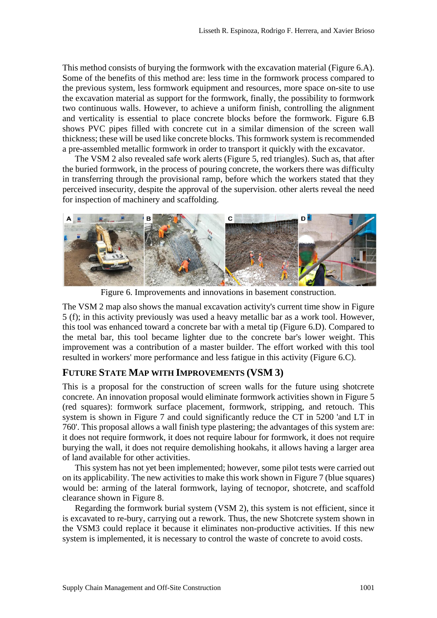This method consists of burying the formwork with the excavation material (Figure 6.A). Some of the benefits of this method are: less time in the formwork process compared to the previous system, less formwork equipment and resources, more space on-site to use the excavation material as support for the formwork, finally, the possibility to formwork two continuous walls. However, to achieve a uniform finish, controlling the alignment and verticality is essential to place concrete blocks before the formwork. Figure 6.B shows PVC pipes filled with concrete cut in a similar dimension of the screen wall thickness; these will be used like concrete blocks. This formwork system is recommended a pre-assembled metallic formwork in order to transport it quickly with the excavator.

The VSM 2 also revealed safe work alerts (Figure 5, red triangles). Such as, that after the buried formwork, in the process of pouring concrete, the workers there was difficulty in transferring through the provisional ramp, before which the workers stated that they perceived insecurity, despite the approval of the supervision. other alerts reveal the need for inspection of machinery and scaffolding.



Figure 6. Improvements and innovations in basement construction.

The VSM 2 map also shows the manual excavation activity's current time show in Figure 5 (f); in this activity previously was used a heavy metallic bar as a work tool. However, this tool was enhanced toward a concrete bar with a metal tip (Figure 6.D). Compared to the metal bar, this tool became lighter due to the concrete bar's lower weight. This improvement was a contribution of a master builder. The effort worked with this tool resulted in workers' more performance and less fatigue in this activity (Figure 6.C).

#### **FUTURE STATE MAP WITH IMPROVEMENTS (VSM 3)**

This is a proposal for the construction of screen walls for the future using shotcrete concrete. An innovation proposal would eliminate formwork activities shown in Figure 5 (red squares): formwork surface placement, formwork, stripping, and retouch. This system is shown in Figure 7 and could significantly reduce the CT in 5200 'and LT in 760'. This proposal allows a wall finish type plastering; the advantages of this system are: it does not require formwork, it does not require labour for formwork, it does not require burying the wall, it does not require demolishing hookahs, it allows having a larger area of land available for other activities.

This system has not yet been implemented; however, some pilot tests were carried out on its applicability. The new activities to make this work shown in Figure 7 (blue squares) would be: arming of the lateral formwork, laying of tecnopor, shotcrete, and scaffold clearance shown in Figure 8.

Regarding the formwork burial system (VSM 2), this system is not efficient, since it is excavated to re-bury, carrying out a rework. Thus, the new Shotcrete system shown in the VSM3 could replace it because it eliminates non-productive activities. If this new system is implemented, it is necessary to control the waste of concrete to avoid costs.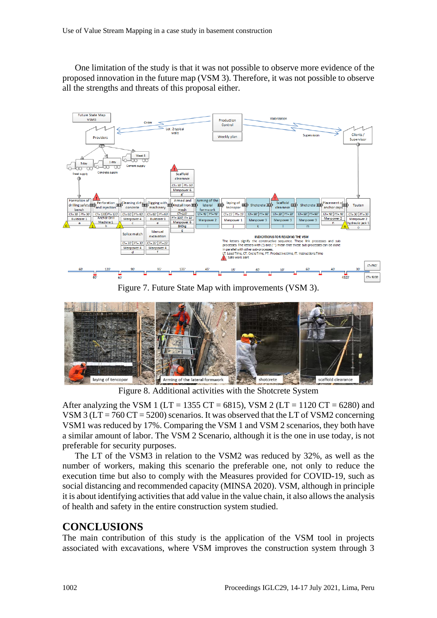One limitation of the study is that it was not possible to observe more evidence of the proposed innovation in the future map (VSM 3). Therefore, it was not possible to observe all the strengths and threats of this proposal either.



Figure 7. Future State Map with improvements (VSM 3).



Figure 8. Additional activities with the Shotcrete System

After analyzing the VSM 1 (LT = 1355 CT = 6815), VSM 2 (LT = 1120 CT = 6280) and VSM 3 ( $LT = 760$  CT = 5200) scenarios. It was observed that the LT of VSM2 concerning VSM1 was reduced by 17%. Comparing the VSM 1 and VSM 2 scenarios, they both have a similar amount of labor. The VSM 2 Scenario, although it is the one in use today, is not preferable for security purposes.

The LT of the VSM3 in relation to the VSM2 was reduced by 32%, as well as the number of workers, making this scenario the preferable one, not only to reduce the execution time but also to comply with the Measures provided for COVID-19, such as social distancing and recommended capacity (MINSA 2020). VSM, although in principle it is about identifying activities that add value in the value chain, it also allows the analysis of health and safety in the entire construction system studied.

### **CONCLUSIONS**

The main contribution of this study is the application of the VSM tool in projects associated with excavations, where VSM improves the construction system through 3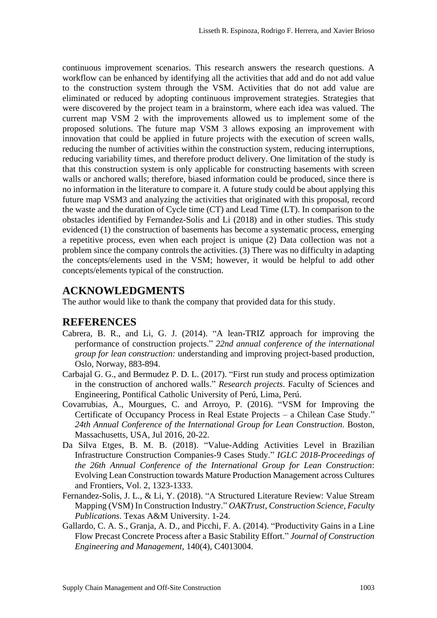continuous improvement scenarios. This research answers the research questions. A workflow can be enhanced by identifying all the activities that add and do not add value to the construction system through the VSM. Activities that do not add value are eliminated or reduced by adopting continuous improvement strategies. Strategies that were discovered by the project team in a brainstorm, where each idea was valued. The current map VSM 2 with the improvements allowed us to implement some of the proposed solutions. The future map VSM 3 allows exposing an improvement with innovation that could be applied in future projects with the execution of screen walls, reducing the number of activities within the construction system, reducing interruptions, reducing variability times, and therefore product delivery. One limitation of the study is that this construction system is only applicable for constructing basements with screen walls or anchored walls; therefore, biased information could be produced, since there is no information in the literature to compare it. A future study could be about applying this future map VSM3 and analyzing the activities that originated with this proposal, record the waste and the duration of Cycle time (CT) and Lead Time (LT). In comparison to the obstacles identified by Fernandez-Solis and Li (2018) and in other studies. This study evidenced (1) the construction of basements has become a systematic process, emerging a repetitive process, even when each project is unique (2) Data collection was not a problem since the company controls the activities. (3) There was no difficulty in adapting the concepts/elements used in the VSM; however, it would be helpful to add other concepts/elements typical of the construction.

### **ACKNOWLEDGMENTS**

The author would like to thank the company that provided data for this study.

#### **REFERENCES**

- Cabrera, B. R., and Li, G. J. (2014). "A lean-TRIZ approach for improving the performance of construction projects." *22nd annual conference of the international group for lean construction:* understanding and improving project-based production*,*  Oslo, Norway, 883-894.
- Carbajal G. G., and Bermudez P. D. L. (2017). "First run study and process optimization in the construction of anchored walls." *Research projects*. Faculty of Sciences and Engineering, Pontifical Catholic University of Perú, Lima, Perú.
- Covarrubias, A., Mourgues, C. and Arroyo, P. (2016). "VSM for Improving the Certificate of Occupancy Process in Real Estate Projects – a Chilean Case Study." *24th Annual Conference of the International Group for Lean Construction*. Boston, Massachusetts, USA, Jul 2016, 20-22.
- Da Silva Etges, B. M. B. (2018). "Value-Adding Activities Level in Brazilian Infrastructure Construction Companies-9 Cases Study." *IGLC 2018-Proceedings of the 26th Annual Conference of the International Group for Lean Construction*: Evolving Lean Construction towards Mature Production Management across Cultures and Frontiers, Vol. 2, 1323-1333.
- Fernandez-Solis, J. L., & Li, Y. (2018). "A Structured Literature Review: Value Stream Mapping (VSM) In Construction Industry." *OAKTrust, Construction Science, Faculty Publications*. Texas A&M University. 1-24.
- Gallardo, C. A. S., Granja, A. D., and Picchi, F. A. (2014). "Productivity Gains in a Line Flow Precast Concrete Process after a Basic Stability Effort." *Journal of Construction Engineering and Management*, 140(4), C4013004.